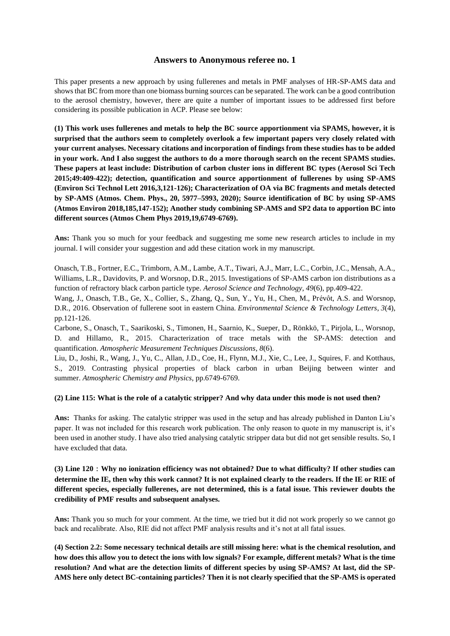# **Answers to Anonymous referee no. 1**

This paper presents a new approach by using fullerenes and metals in PMF analyses of HR-SP-AMS data and shows that BC from more than one biomass burning sources can be separated. The work can be a good contribution to the aerosol chemistry, however, there are quite a number of important issues to be addressed first before considering its possible publication in ACP. Please see below:

**(1) This work uses fullerenes and metals to help the BC source apportionment via SPAMS, however, it is surprised that the authors seem to completely overlook a few important papers very closely related with your current analyses. Necessary citations and incorporation of findings from these studies has to be added in your work. And I also suggest the authors to do a more thorough search on the recent SPAMS studies. These papers at least include: Distribution of carbon cluster ions in different BC types (Aerosol Sci Tech 2015;49:409-422); detection, quantification and source apportionment of fullerenes by using SP-AMS (Environ Sci Technol Lett 2016,3,121-126); Characterization of OA via BC fragments and metals detected by SP-AMS (Atmos. Chem. Phys., 20, 5977–5993, 2020); Source identification of BC by using SP-AMS (Atmos Environ 2018,185,147-152); Another study combining SP-AMS and SP2 data to apportion BC into different sources (Atmos Chem Phys 2019,19,6749-6769).**

**Ans:** Thank you so much for your feedback and suggesting me some new research articles to include in my journal. I will consider your suggestion and add these citation work in my manuscript.

Onasch, T.B., Fortner, E.C., Trimborn, A.M., Lambe, A.T., Tiwari, A.J., Marr, L.C., Corbin, J.C., Mensah, A.A., Williams, L.R., Davidovits, P. and Worsnop, D.R., 2015. Investigations of SP-AMS carbon ion distributions as a function of refractory black carbon particle type. *Aerosol Science and Technology*, *49*(6), pp.409-422.

Wang, J., Onasch, T.B., Ge, X., Collier, S., Zhang, Q., Sun, Y., Yu, H., Chen, M., Prévôt, A.S. and Worsnop, D.R., 2016. Observation of fullerene soot in eastern China. *Environmental Science & Technology Letters*, *3*(4), pp.121-126.

Carbone, S., Onasch, T., Saarikoski, S., Timonen, H., Saarnio, K., Sueper, D., Rönkkö, T., Pirjola, L., Worsnop, D. and Hillamo, R., 2015. Characterization of trace metals with the SP-AMS: detection and quantification. *Atmospheric Measurement Techniques Discussions*, *8*(6).

Liu, D., Joshi, R., Wang, J., Yu, C., Allan, J.D., Coe, H., Flynn, M.J., Xie, C., Lee, J., Squires, F. and Kotthaus, S., 2019. Contrasting physical properties of black carbon in urban Beijing between winter and summer. *Atmospheric Chemistry and Physics*, pp.6749-6769.

#### **(2) Line 115: What is the role of a catalytic stripper? And why data under this mode is not used then?**

**Ans:** Thanks for asking. The catalytic stripper was used in the setup and has already published in Danton Liu's paper. It was not included for this research work publication. The only reason to quote in my manuscript is, it's been used in another study. I have also tried analysing catalytic stripper data but did not get sensible results. So, I have excluded that data.

**(3) Line 120**:**Why no ionization efficiency was not obtained? Due to what difficulty? If other studies can determine the IE, then why this work cannot? It is not explained clearly to the readers. If the IE or RIE of different species, especially fullerenes, are not determined, this is a fatal issue. This reviewer doubts the credibility of PMF results and subsequent analyses.**

**Ans:** Thank you so much for your comment. At the time, we tried but it did not work properly so we cannot go back and recalibrate. Also, RIE did not affect PMF analysis results and it's not at all fatal issues.

**(4) Section 2.2: Some necessary technical details are still missing here: what is the chemical resolution, and how does this allow you to detect the ions with low signals? For example, different metals? What is the time resolution? And what are the detection limits of different species by using SP-AMS? At last, did the SP-AMS here only detect BC-containing particles? Then it is not clearly specified that the SP-AMS is operated**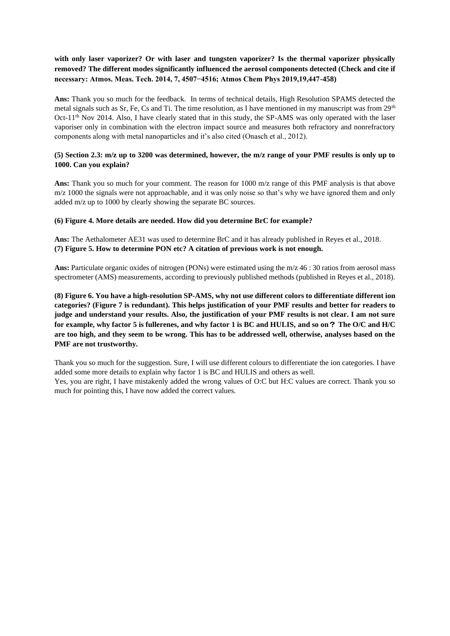# **with only laser vaporizer? Or with laser and tungsten vaporizer? Is the thermal vaporizer physically removed? The different modes significantly influenced the aerosol components detected (Check and cite if necessary: Atmos. Meas. Tech. 2014, 7, 4507−4516; Atmos Chem Phys 2019,19,447-458)**

**Ans:** Thank you so much for the feedback. In terms of technical details, High Resolution SPAMS detected the metal signals such as Sr, Fe, Cs and Ti. The time resolution, as I have mentioned in my manuscript was from 29<sup>th</sup> Oct- $11<sup>th</sup>$  Nov 2014. Also, I have clearly stated that in this study, the SP-AMS was only operated with the laser vaporiser only in combination with the electron impact source and measures both refractory and nonrefractory components along with metal nanoparticles and it's also cited (Onasch et al., 2012).

# **(5) Section 2.3: m/z up to 3200 was determined, however, the m/z range of your PMF results is only up to 1000. Can you explain?**

Ans: Thank you so much for your comment. The reason for 1000 m/z range of this PMF analysis is that above m/z 1000 the signals were not approachable, and it was only noise so that's why we have ignored them and only added m/z up to 1000 by clearly showing the separate BC sources.

## **(6) Figure 4. More details are needed. How did you determine BrC for example?**

**Ans:** The Aethalometer AE31 was used to determine BrC and it has already published in Reyes et al., 2018. **(7) Figure 5. How to determine PON etc? A citation of previous work is not enough.**

**Ans:** Particulate organic oxides of nitrogen (PONs) were estimated using the m/z 46 : 30 ratios from aerosol mass spectrometer (AMS) measurements, according to previously published methods (published in Reyes et al., 2018).

**(8) Figure 6. You have a high-resolution SP-AMS, why not use different colors to differentiate different ion categories? (Figure 7 is redundant). This helps justification of your PMF results and better for readers to judge and understand your results. Also, the justification of your PMF results is not clear. I am not sure for example, why factor 5 is fullerenes, and why factor 1 is BC and HULIS, and so on**? **The O/C and H/C are too high, and they seem to be wrong. This has to be addressed well, otherwise, analyses based on the PMF are not trustworthy.** 

Thank you so much for the suggestion. Sure, I will use different colours to differentiate the ion categories. I have added some more details to explain why factor 1 is BC and HULIS and others as well.

Yes, you are right, I have mistakenly added the wrong values of O:C but H:C values are correct. Thank you so much for pointing this, I have now added the correct values.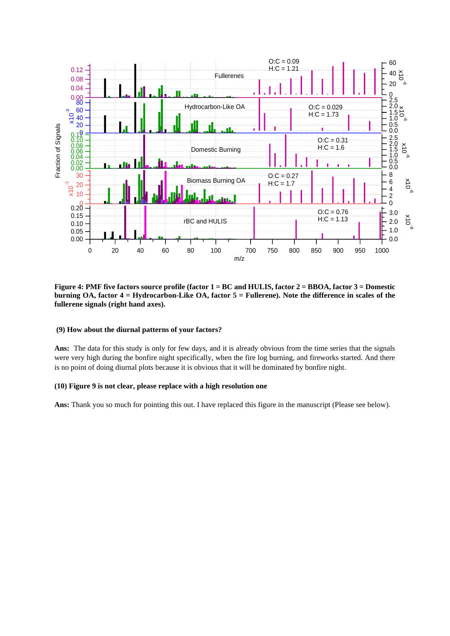

**Figure 4: PMF five factors source profile (factor 1 = BC and HULIS, factor 2 = BBOA, factor 3 = Domestic burning OA, factor 4 = Hydrocarbon-Like OA, factor 5 = Fullerene). Note the difference in scales of the fullerene signals (right hand axes).**

### **(9) How about the diurnal patterns of your factors?**

**Ans:** The data for this study is only for few days, and it is already obvious from the time series that the signals were very high during the bonfire night specifically, when the fire log burning, and fireworks started. And there is no point of doing diurnal plots because it is obvious that it will be dominated by bonfire night.

### **(10) Figure 9 is not clear, please replace with a high resolution one**

**Ans:** Thank you so much for pointing this out. I have replaced this figure in the manuscript (Please see below).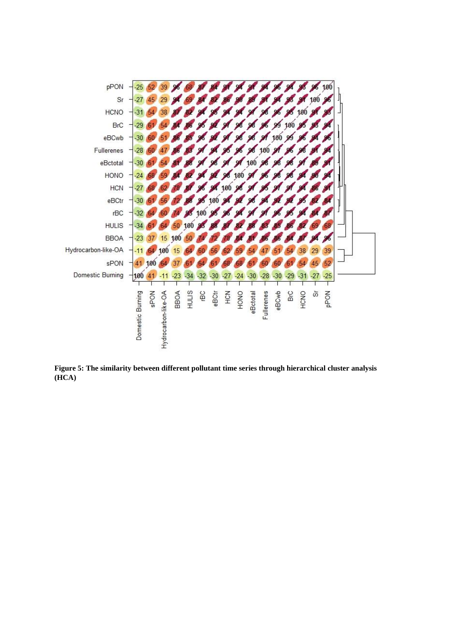

**Figure 5: The similarity between different pollutant time series through hierarchical cluster analysis (HCA)**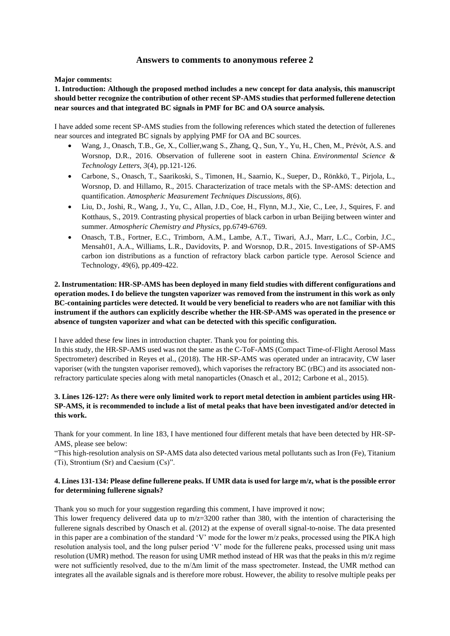# **Answers to comments to anonymous referee 2**

**Major comments:** 

**1. Introduction: Although the proposed method includes a new concept for data analysis, this manuscript should better recognize the contribution of other recent SP-AMS studies that performed fullerene detection near sources and that integrated BC signals in PMF for BC and OA source analysis.**

I have added some recent SP-AMS studies from the following references which stated the detection of fullerenes near sources and integrated BC signals by applying PMF for OA and BC sources.

- Wang, J., Onasch, T.B., Ge, X., Collier,wang S., Zhang, Q., Sun, Y., Yu, H., Chen, M., Prévôt, A.S. and Worsnop, D.R., 2016. Observation of fullerene soot in eastern China. *Environmental Science & Technology Letters*, *3*(4), pp.121-126.
- Carbone, S., Onasch, T., Saarikoski, S., Timonen, H., Saarnio, K., Sueper, D., Rönkkö, T., Pirjola, L., Worsnop, D. and Hillamo, R., 2015. Characterization of trace metals with the SP-AMS: detection and quantification. *Atmospheric Measurement Techniques Discussions*, *8*(6).
- Liu, D., Joshi, R., Wang, J., Yu, C., Allan, J.D., Coe, H., Flynn, M.J., Xie, C., Lee, J., Squires, F. and Kotthaus, S., 2019. Contrasting physical properties of black carbon in urban Beijing between winter and summer. *Atmospheric Chemistry and Physics*, pp.6749-6769.
- Onasch, T.B., Fortner, E.C., Trimborn, A.M., Lambe, A.T., Tiwari, A.J., Marr, L.C., Corbin, J.C., Mensah01, A.A., Williams, L.R., Davidovits, P. and Worsnop, D.R., 2015. Investigations of SP-AMS carbon ion distributions as a function of refractory black carbon particle type. Aerosol Science and Technology, 49(6), pp.409-422.

# **2. Instrumentation: HR-SP-AMS has been deployed in many field studies with different configurations and operation modes. I do believe the tungsten vaporizer was removed from the instrument in this work as only BC-containing particles were detected. It would be very beneficial to readers who are not familiar with this instrument if the authors can explicitly describe whether the HR-SP-AMS was operated in the presence or absence of tungsten vaporizer and what can be detected with this specific configuration.**

I have added these few lines in introduction chapter. Thank you for pointing this.

In this study, the HR-SP-AMS used was not the same as the C-ToF-AMS (Compact Time-of-Flight Aerosol Mass Spectrometer) described in Reyes et al., (2018). The HR-SP-AMS was operated under an intracavity, CW laser vaporiser (with the tungsten vaporiser removed), which vaporises the refractory BC (rBC) and its associated nonrefractory particulate species along with metal nanoparticles (Onasch et al., 2012; Carbone et al., 2015).

# **3. Lines 126-127: As there were only limited work to report metal detection in ambient particles using HR-SP-AMS, it is recommended to include a list of metal peaks that have been investigated and/or detected in this work.**

Thank for your comment. In line 183, I have mentioned four different metals that have been detected by HR-SP-AMS, please see below:

"This high-resolution analysis on SP-AMS data also detected various metal pollutants such as Iron (Fe), Titanium (Ti), Strontium (Sr) and Caesium (Cs)".

# **4. Lines 131-134: Please define fullerene peaks. If UMR data is used for large m/z, what is the possible error for determining fullerene signals?**

Thank you so much for your suggestion regarding this comment, I have improved it now;

This lower frequency delivered data up to  $m/z=3200$  rather than 380, with the intention of characterising the fullerene signals described by Onasch et al. (2012) at the expense of overall signal-to-noise. The data presented in this paper are a combination of the standard 'V' mode for the lower m/z peaks, processed using the PIKA high resolution analysis tool, and the long pulser period 'V' mode for the fullerene peaks, processed using unit mass resolution (UMR) method. The reason for using UMR method instead of HR was that the peaks in this m/z regime were not sufficiently resolved, due to the m/Δm limit of the mass spectrometer. Instead, the UMR method can integrates all the available signals and is therefore more robust. However, the ability to resolve multiple peaks per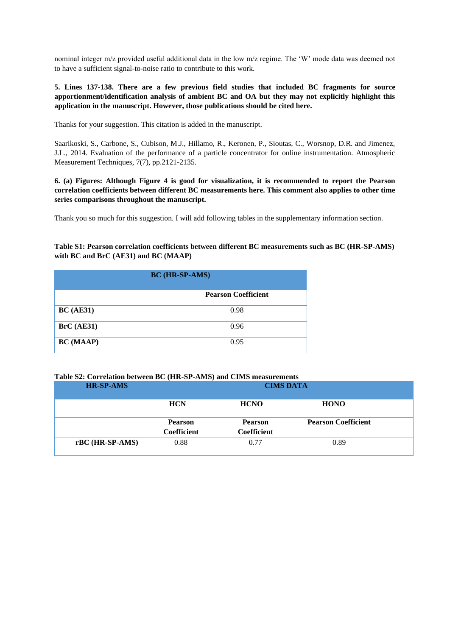nominal integer m/z provided useful additional data in the low m/z regime. The 'W' mode data was deemed not to have a sufficient signal-to-noise ratio to contribute to this work.

# **5. Lines 137-138. There are a few previous field studies that included BC fragments for source apportionment/identification analysis of ambient BC and OA but they may not explicitly highlight this application in the manuscript. However, those publications should be cited here.**

Thanks for your suggestion. This citation is added in the manuscript.

Saarikoski, S., Carbone, S., Cubison, M.J., Hillamo, R., Keronen, P., Sioutas, C., Worsnop, D.R. and Jimenez, J.L., 2014. Evaluation of the performance of a particle concentrator for online instrumentation. Atmospheric Measurement Techniques, 7(7), pp.2121-2135.

**6. (a) Figures: Although Figure 4 is good for visualization, it is recommended to report the Pearson correlation coefficients between different BC measurements here. This comment also applies to other time series comparisons throughout the manuscript.** 

Thank you so much for this suggestion. I will add following tables in the supplementary information section.

**Table S1: Pearson correlation coefficients between different BC measurements such as BC (HR-SP-AMS) with BC and BrC (AE31) and BC (MAAP)**

| <b>BC</b> (HR-SP-AMS) |                            |  |
|-----------------------|----------------------------|--|
|                       | <b>Pearson Coefficient</b> |  |
| BC(AE31)              | 0.98                       |  |
| BrC (AE31)            | 0.96                       |  |
| <b>BC</b> (MAAP)      | 0.95                       |  |

# **Table S2: Correlation between BC (HR-SP-AMS) and CIMS measurements**

| <b>HR-SP-AMS</b> | <b>CIMS DATA</b>                     |                                      |                            |
|------------------|--------------------------------------|--------------------------------------|----------------------------|
|                  | <b>HCN</b>                           | <b>HCNO</b>                          | <b>HONO</b>                |
|                  | <b>Pearson</b><br><b>Coefficient</b> | <b>Pearson</b><br><b>Coefficient</b> | <b>Pearson Coefficient</b> |
| rBC (HR-SP-AMS)  | 0.88                                 | 0.77                                 | 0.89                       |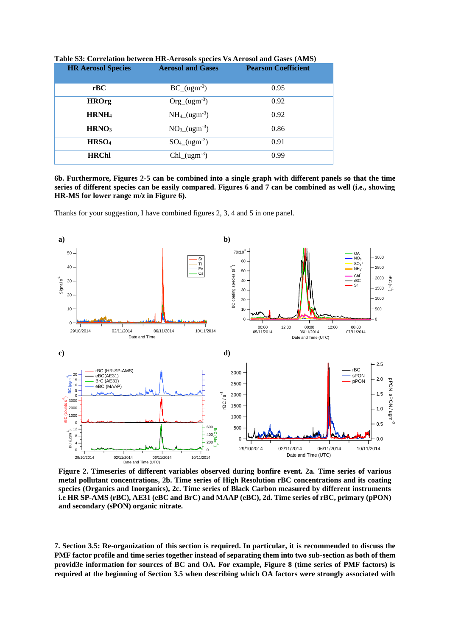| <b>HR Aerosol Species</b> | <b>Aerosol and Gases</b>      | <b>Pearson Coefficient</b> |
|---------------------------|-------------------------------|----------------------------|
|                           |                               |                            |
| rBC                       | $BC_{ugm^{-3}}$               | 0.95                       |
| <b>HROrg</b>              | $Org_{u} (ugm^{-3})$          | 0.92                       |
| HRNH <sub>4</sub>         | $NH_4 (ugm^{-3})$             | 0.92                       |
| HRNO <sub>3</sub>         | $NO3(ugm-3)$                  | 0.86                       |
| HRSO <sub>4</sub>         | $SO_{4}$ (ugm <sup>-3</sup> ) | 0.91                       |
| <b>HRChl</b>              | $Chl_{ugm}^3$                 | 0.99                       |

**Table S3: Correlation between HR-Aerosols species Vs Aerosol and Gases (AMS)**

**6b. Furthermore, Figures 2-5 can be combined into a single graph with different panels so that the time series of different species can be easily compared. Figures 6 and 7 can be combined as well (i.e., showing HR-MS for lower range m/z in Figure 6).**

Thanks for your suggestion, I have combined figures 2, 3, 4 and 5 in one panel.



**Figure 2. Timeseries of different variables observed during bonfire event. 2a. Time series of various metal pollutant concentrations, 2b. Time series of High Resolution rBC concentrations and its coating species (Organics and Inorganics), 2c. Time series of Black Carbon measured by different instruments i.e HR SP-AMS (rBC), AE31 (eBC and BrC) and MAAP (eBC), 2d. Time series of rBC, primary (pPON) and secondary (sPON) organic nitrate.**

**7. Section 3.5: Re-organization of this section is required. In particular, it is recommended to discuss the PMF factor profile and time series together instead of separating them into two sub-section as both of them provid3e information for sources of BC and OA. For example, Figure 8 (time series of PMF factors) is required at the beginning of Section 3.5 when describing which OA factors were strongly associated with**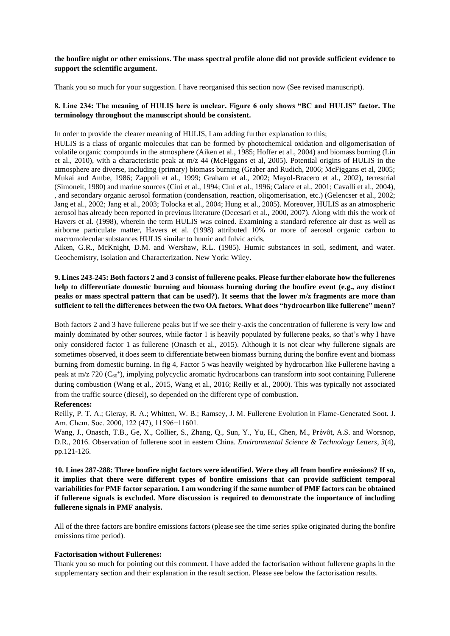## **the bonfire night or other emissions. The mass spectral profile alone did not provide sufficient evidence to support the scientific argument.**

Thank you so much for your suggestion. I have reorganised this section now (See revised manuscript).

## **8. Line 234: The meaning of HULIS here is unclear. Figure 6 only shows "BC and HULIS" factor. The terminology throughout the manuscript should be consistent.**

In order to provide the clearer meaning of HULIS, I am adding further explanation to this;

HULIS is a class of organic molecules that can be formed by photochemical oxidation and oligomerisation of volatile organic compounds in the atmosphere (Aiken et al., 1985; Hoffer et al., 2004) and biomass burning (Lin et al., 2010), with a characteristic peak at m/z 44 (McFiggans et al, 2005). Potential origins of HULIS in the atmosphere are diverse, including (primary) biomass burning (Graber and Rudich, 2006; McFiggans et al, 2005; Mukai and Ambe, 1986; Zappoli et al., 1999; Graham et al., 2002; Mayol-Bracero et al., 2002), terrestrial (Simoneit, 1980) and marine sources (Cini et al., 1994; Cini et al., 1996; Calace et al., 2001; Cavalli et al., 2004), , and secondary organic aerosol formation (condensation, reaction, oligomerisation, etc.) (Gelencser et al., 2002; Jang et al., 2002; Jang et al., 2003; Tolocka et al., 2004; Hung et al., 2005). Moreover, HULIS as an atmospheric aerosol has already been reported in previous literature (Decesari et al., 2000, 2007). Along with this the work of Havers et al. (1998), wherein the term HULIS was coined. Examining a standard reference air dust as well as airborne particulate matter, Havers et al. (1998) attributed 10% or more of aerosol organic carbon to macromolecular substances HULIS similar to humic and fulvic acids.

Aiken, G.R., McKnight, D.M. and Wershaw, R.L. (1985). Humic substances in soil, sediment, and water. Geochemistry, Isolation and Characterization. New York: Wiley.

# **9. Lines 243-245: Both factors 2 and 3 consist of fullerene peaks. Please further elaborate how the fullerenes help to differentiate domestic burning and biomass burning during the bonfire event (e.g., any distinct peaks or mass spectral pattern that can be used?). It seems that the lower m/z fragments are more than sufficient to tell the differences between the two OA factors. What does "hydrocarbon like fullerene" mean?**

Both factors 2 and 3 have fullerene peaks but if we see their y-axis the concentration of fullerene is very low and mainly dominated by other sources, while factor 1 is heavily populated by fullerene peaks, so that's why I have only considered factor 1 as fullerene (Onasch et al., 2015). Although it is not clear why fullerene signals are sometimes observed, it does seem to differentiate between biomass burning during the bonfire event and biomass burning from domestic burning. In fig 4, Factor 5 was heavily weighted by hydrocarbon like Fullerene having a peak at m/z 720 (C<sub>60</sub><sup>+</sup>), implying polycyclic aromatic hydrocarbons can transform into soot containing Fullerene during combustion (Wang et al., 2015, Wang et al., 2016; Reilly et al., 2000). This was typically not associated from the traffic source (diesel), so depended on the different type of combustion.

#### **References:**

Reilly, P. T. A.; Gieray, R. A.; Whitten, W. B.; Ramsey, J. M. Fullerene Evolution in Flame-Generated Soot. J. Am. Chem. Soc. 2000, 122 (47), 11596−11601.

Wang, J., Onasch, T.B., Ge, X., Collier, S., Zhang, Q., Sun, Y., Yu, H., Chen, M., Prévôt, A.S. and Worsnop, D.R., 2016. Observation of fullerene soot in eastern China. *Environmental Science & Technology Letters*, *3*(4), pp.121-126.

**10. Lines 287-288: Three bonfire night factors were identified. Were they all from bonfire emissions? If so, it implies that there were different types of bonfire emissions that can provide sufficient temporal variabilities for PMF factor separation. I am wondering if the same number of PMF factors can be obtained if fullerene signals is excluded. More discussion is required to demonstrate the importance of including fullerene signals in PMF analysis.**

All of the three factors are bonfire emissions factors (please see the time series spike originated during the bonfire emissions time period).

#### **Factorisation without Fullerenes:**

Thank you so much for pointing out this comment. I have added the factorisation without fullerene graphs in the supplementary section and their explanation in the result section. Please see below the factorisation results.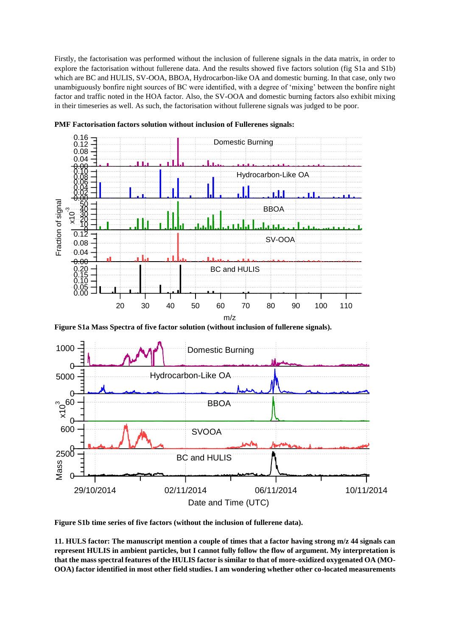Firstly, the factorisation was performed without the inclusion of fullerene signals in the data matrix, in order to explore the factorisation without fullerene data. And the results showed five factors solution (fig S1a and S1b) which are BC and HULIS, SV-OOA, BBOA, Hydrocarbon-like OA and domestic burning. In that case, only two unambiguously bonfire night sources of BC were identified, with a degree of 'mixing' between the bonfire night factor and traffic noted in the HOA factor. Also, the SV-OOA and domestic burning factors also exhibit mixing in their timeseries as well. As such, the factorisation without fullerene signals was judged to be poor.



**PMF Factorisation factors solution without inclusion of Fullerenes signals:**

**Figure S1a Mass Spectra of five factor solution (without inclusion of fullerene signals).**



**Figure S1b time series of five factors (without the inclusion of fullerene data).**

**11. HULS factor: The manuscript mention a couple of times that a factor having strong m/z 44 signals can represent HULIS in ambient particles, but I cannot fully follow the flow of argument. My interpretation is that the mass spectral features of the HULIS factor is similar to that of more-oxidized oxygenated OA (MO-OOA) factor identified in most other field studies. I am wondering whether other co-located measurements**